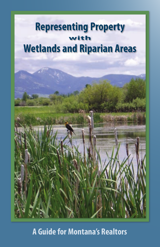

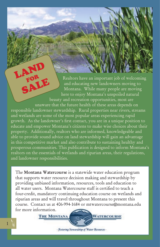Realtors have an important job of welcoming and educating new landowners moving to Montana. While many people are moving here to enjoy Montana's unspoiled natural beauty and recreation opportunities, most are unaware that the future health of these areas depends on responsible landowner stewardship. Rural properties near rivers, streams and wetlands are some of the most popular areas experiencing rapid growth. As the landowner's first contact, you are in a unique position to educate and empower Montana's citizens to make wise choices about their property. Additionally, realtors who are informed, knowledgeable and able to provide sound advice on land stewardship will gain an advantage in this competitive market and also contribute to sustaining healthy and prosperous communities. This publication is designed to inform Montana's realtors on the essentials of wetlands and riparian areas, their regulations, and landowner responsibilities. LAND SALE

The **Montana Watercourse** is a statewide water education program that supports water resource decision making and stewardship by providing unbiased information, resources, tools and education to all water users. Montana Watercourse staff is certified to teach a four-credit, mandatory continuing education course on wetlands and riparian areas and will travel throughout Montana to present this course. Contact us at 406-994-1684 or mtwatercourse@montana.edu for more information.

**THE MONTANA** 

- Festering Stewardship of Water Resources -

WATERCOURSE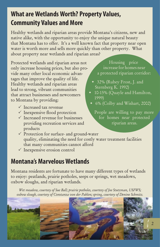# **What are Wetlands Worth? Property Values, Community Values and More**

Healthy wetlands and riparian areas provide Montana's citizens, new and native alike, with the opportunity to enjoy the unique natural beauty that Montana has to offer. It's a well known fact that property near open water is worth more and sells more quickly than other property. What about property near wetlands and riparian areas?

Protected wetlands and riparian areas not only increase housing prices, but also provide many other local economic advantages that improve the quality of life. Healthy wetlands and riparian areas lead to strong, vibrant communities that attract businesses and newcomers to Montana by providing:

- $\checkmark$  Increased tax revenue
- $\checkmark$  Inexpensive flood protection
- $\checkmark$  Increased revenue for businesses providing recreation services and products

Housing price increase for homes near a protected riparian corridor:

- 32% (Rubey Frost, J. and Sternberg K. 1992)
- 10-15% (Quayle and Hamilton, 1999)
- 6% (Colby and Wishart, 2002)

People are willing to pay more for homes near protected riparian areas.

- $\checkmark$  Protection for surface- and ground-water quality, eliminating the need for costly water treatment facilities that many communities cannot afford
- $\checkmark$  Inexpensive erosion control

# **Montana's Marvelous Wetlands**

Montana residents are fortunate to have many different types of wetlands to enjoy: peatlands, prairie potholes, seeps or springs, wet meadows, oxbow sloughs, and riparian wetlands.

*Wet meadow, courtesy of Sue Ball; prairie potholes, courtesy of Joe Stutzman, USFWS; oxbow slough, courtesy of Constanza von der Pahlen; spring, courtesy of Denine Schmitz.*

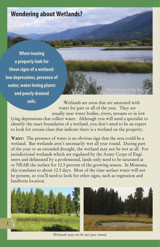

**When touring a property look for these signs of a wetland: low depressions, presence of water, water loving plants and poorly drained soils.** 

Wetlands are areas that are saturated with water for part or all of the year. They are

usually near water bodies, rivers, streams or in low lying depressions that collect water. Although you will need a specialist to identify the exact boundaries of a wetland, you don't need to be an expert to look for certain clues that indicate there is a wetland on the property.

**Water:** The presence of water is an obvious sign that the area could be a wetland. But wetlands aren't necessarily wet all year round. During part of the year or an extended drought, the wetland may not be wet at all. For jurisdictional wetlands which are regulated by the Army Corps of Engineers and delineated by a professional, lands only need to be saturated at or NEAR the surface for 12.5 percent of the growing season. In Montana, this translates to about 12.5 days. Most of the time surface water will not be present, so you'll need to look for other signs, such as vegetation and landform location.



*Wetlands may not be wet year round.*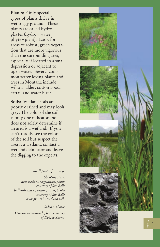**Plants:** Only special types of plants thrive in wet soggy ground. These plants are called hydro phytes (hydro=water, phyte=plant). Look for areas of robust, green vegeta tion that are more vigorous than the surrounding area, especially if located in a small depression or adjacent to open water. Several com mon water-loving plants and trees in Montana include willow, alder, cottonwood, cattail and water birch.

**Soils:** Wetland soils are poorly drained and may look grey. The color of the soil is only one indicator and does not solely determine if an area is a wetland. If you can't readily see the color of the soil but suspect the area is a wetland, contact a wetland delineator and leave the digging to the experts.

#### *Small photos from top:*

*Shooting stars; lush wetland vegetation, photo courtesy of Sue Ball; bullrush and riparian grasses, photo courtesy of Sue Ball; bear prints in wetland soil.*

*Sidebar photo: Cattails in wetland, photo courtesy of Debbie Zarnt.*

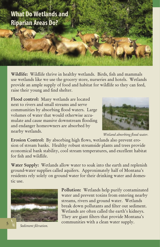# **What Do Wetlands and Riparian Areas Do?**

**Wildlife:** Wildlife thrive in healthy wetlands. Birds, fish and mammals use wetlands like we use the grocery store, nurseries and hotels. Wetlands provide an ample supply of food and habitat for wildlife so they can feed, raise their young and find shelter.

**Flood control:** Many wetlands are located next to rivers and small streams and serve communities by absorbing flood waters. Large volumes of water that would otherwise accumulate and cause massive downstream flooding and endanger homeowners are absorbed by nearby wetlands.



*Wetland absorbing flood water.*

**Erosion Control:** By absorbing high flows, wetlands also prevent erosion of stream banks. Healthy robust streamside plants and trees provide economical bank stability, cool stream temperatures, and excellent habitat for fish and wildlife.

**Water Supply:** Wetlands allow water to soak into the earth and replenish ground-water supplies called aquifers. Approximately half of Montana's residents rely solely on ground water for their drinking water and domestic use.



**Pollution:** Wetlands help purify contaminated water and prevent toxins from entering nearby streams, rivers and ground water. Wetlands break down pollutants and filter out sediment. Wetlands are often called the earth's kidneys. They are giant filters that provide Montana's communities with a clean water supply.

**Sediment** filtration.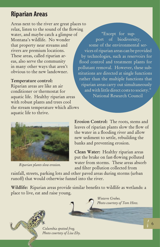# **Riparian Areas**

Areas next to the river are great places to relax, listen to the sound of the flowing water, and maybe catch a glimpse of Montana's wildlife. No wonder that property near streams and rivers are premium locations. These areas, called riparian areas, also serve the community in many other ways that aren't obvious to the new landowner.

#### **Temperature control:**

Riparian areas are like an air conditioner or thermostat for aquatic life. Healthy riparian areas with robust plants and trees cool the stream temperature which allows aquatic life to thrive.

"Except for support of biodiversity, some of the environmental services of riparian areas can be provided by technologies, such as reservoirs for flood control and treatment plants for pollutant removal. However, these substitutions are directed at single functions rather than the multiple functions that riparian areas carry out simultaneously and with little direct costs to society." National Research Council



*Riparian plants slow erosion.*

**Erosion Control:** The roots, stems and leaves of riparian plants slow the flow of the water in a flooding river and allow new sediment to settle, rebuilding the banks and preventing erosion.

**Clean Water:** Healthy riparian areas put the brake on fast-flowing polluted water from storms. These areas absorb and filter pollution collected from

rainfall, streets, parking lots and other paved areas during storms (urban runoff) that would otherwise funnel into the river.

**Wildlife:** Riparian areas provide similar benefits to wildlife as wetlands: a place to live, eat and raise young.

*Columbia spotted frog. Photo courtesy of Lisa Eby.*

*Western Grebes. Photo courtesy of Tom Hinz.*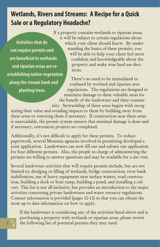# **Wetlands, Rivers and Streams: A Recipe for a Quick Sale or a Regulatory Headache?**

**Activities that do not require permits and are beneficial to wetlands and riparian areas are reestablishing native vegetation along the stream bank and planting trees.**

If a property contains wetlands or riparian areas, it will be subject to certain regulations about which your client should know. By understanding the basics of these permits, you will be able to help your client feel more confident and knowledgeable about the property and make wise land use decisions.

There's no need to be intimidated or confused by wetland and riparian area regulations. The regulations are designed to minimize damage to these valuable areas for the benefit of the landowner and their community. Stewardship of these areas begins with recog-

nizing their value and avoiding impacts to them by building away from these areas or restoring them if necessary. If construction near these areas is unavoidable, the permit system ensures that minimal damage is done and if necessary, restoration projects are completed.

Additionally, it's not difficult to apply for these permits. To reduce paperwork, several Montana agencies involved in permitting developed a joint application. Landowners can now fill out and submit one application for four different permits. Also, the people in charge of administering the permits are willing to answer questions and may be available for a site visit.

Several landowner activities that will require permits include, but are not limited to: dredging or filling of wetlands, bridge construction, river bank stabilization, use of heavy equipment near surface waters, road construction, building a dock or boat ramp, building a pond, and installing a culvert. This list is not all-inclusive, but provides an introduction to the major activities concerning private landowners and water resource regulations. Contact information is provided (pages 10-12) so that you can obtain the most up to date information on how to apply.

If the landowner is considering any of the activities listed above and is purchasing a property with wetlands or riparian areas, please review the following list of potential permits they may need.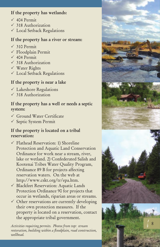#### **If the property has wetlands:**

- $\sqrt{404}$  Permit
- $\sqrt{318}$  Authorization
- Local Setback Regulations

#### **If the property has a river or stream:**

- $\sqrt{310}$  Permit
- $\checkmark$  Floodplain Permit
- $\sqrt{404}$  Permit
- $\sqrt{318}$  Authorization
- Water Rights
- Local Setback Regulations

### **If the property is near a lake**

- $\checkmark$  Lakeshore Regulations
- $\sqrt{318}$  Authorization

#### **If the property has a well or needs a septic system:**

- Ground Water Certificate
- $\checkmark$  Septic System Permit

#### **If the property is located on a tribal reservation:**

- $\checkmark$  Flathead Reservation: 1) Shoreline Protection and Aquatic Land Conservation Ordinance for work near a stream, river, lake or wetland. 2) Confederated Salish and Kootenai Tribes Water Quality Program, Ordinance 89 B for projects affecting reservation waters. On the web at http://www.cskt.org/tr/epa.htm. //// If ////// If // If ヒe / / / / / / / /
- Blackfeet Reservation: Aquatic Lands Protection Ordinance 90 for projects that occur in wetlands, riparian areas or streams.
- $\checkmark$  Other reservations are currently developing their own protection measures. If the property is located on a reservation, contact the appropriate tribal government.

*Activities requiring permits. Photos from top: stream restoration, building within a floodplain, road construction, wellhead.*

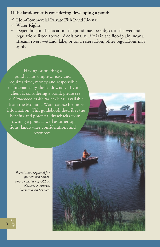#### **If the landowner is considering developing a pond:**

- Non-Commercial Private Fish Pond License
- Water Rights
- $\checkmark$  Depending on the location, the pond may be subject to the wetland regulations listed above. Additionally, if it is in the floodplain, near a stream, river, wetland, lake, or on a reservation, other regulations may apply.

Having or building a pond is not simple or easy and requires time, money and responsible maintenance by the landowner. If your client is considering a pond, please see *A Guidebook to Montana Ponds*, available from the Montana Watercourse for more information. This guidebook describes the benefits and potential drawbacks from owning a pond as well as other options, landowner considerations and resources.

*Permits are required for private fish ponds. Photo courtesy of USDA Natural Resources Conservation Service.*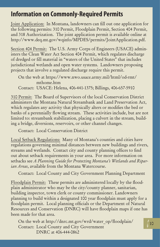### **Information on Commonly-Required Permits**

Joint Application: In Montana, landowners can fill out one application for the following permits: 310 Permit, Floodplain Permit, Section 404 Permit, and 318 Authorization. The joint application permit is available online at http://www.deq.mt.gov/wqinfo/MPDES/permits/JointApplication.pdf.

Section 404 Permit: The U.S. Army Corps of Engineers (USACE) administers the Clean Water Act Section 404 Permit, which regulates discharge of dredged or fill material in "waters of the United States" that includes jurisdictional wetlands and open water systems. Landowners proposing projects that involve a regulated discharge require this permit.

On the web at https://www.nwo.usace.army.mil/html/od-rmt/ mthome.htm Contact: USACE: Helena, 406-441-1375; Billings, 406-657-5910

310 Permit: The Board of Supervisors of the local Conservation District administers the Montana Natural Streambank and Land Preservation Act, which regulates any activity that physically alters or modifies the bed or banks of a perennially flowing stream. These activities include, but are not limited to: streambank stabilization, placing a culvert in the stream, building a bridge, diversions, reservoirs, or other channel changes.

Contact: Local Conservation District

Local Setback Regulations: Many of Montana's counties and cities have regulations governing minimal distances between new buildings and rivers, streams and wetlands. Contact city and county planning offices to find out about setback requirements in your area. For more information on setbacks see *A Planning Guide for Protecting Montana's Wetlands and Riparian Areas*, available from the Montana Watercourse.

Contact: Local County and City Government Planning Department

Floodplain Permit: These permits are administered locally by the floodplain administrator who may be the city/county planner, sanitarian, building inspector, town clerk or county commissioner. Landowners planning to build within a designated 100 year floodplain must apply for a floodplain permit. Local planning officials or the Department of Natural Resources and Conservation (DNRC) will have floodplain maps if one has been made for that area.

On the web at http://dnrc.mt.gov/wrd/water\_op/floodplain/ Contact: Local County and City Government DNRC at 406-444-0862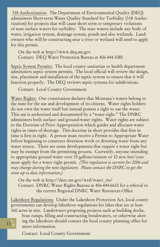318 Authorization: The Department of Environmental Quality (DEQ) administers Short-term Water Quality Standard for Turbidity (318 Authorization) for projects that will cause short term or temporary violations of state surface waters for turbidity. The state waters include any body of water, irrigation system, drainage system, ponds and also wetlands. Landowners who will be constructing near a river or wetland will need to apply for this permit.

On the web at http://www.deq.mt.gov Contact: DEQ Water Protection Bureau at 406-444-3080

Septic System Permits: The local county sanitarian or health department administers septic system permits. The local official will review the design, size, placement and installation of the septic system to ensure that it will function properly. The DEQ reviews septic systems for subdivisions.

Contact: Local County Government

Water Rights: Our constitution declares that Montana's waters belong to the state for the use and development of its citizens. Water rights holders do not own the water itself but instead possess a right to use the water. This use is authorized and documented by a "water right." The DNRC administers both surface- and ground-water rights. Water rights are subject to the Doctrine of Prior Appropriation which guides and allocates water rights in times of shortage. This doctrine in short provides that first in time is first in right. A person must receive a Permit to Appropriate Water before beginning to construct diversion work or diverting water from any water source. There are some developments that require a water right but may be exempt from the permitting process. Currently, anyone intending to appropriate ground water over 35 gallons/minute or 10 acre feet/year must apply for a water right permit. *(This regulation is current for 2006 and may change during the next legislature. Please contact the DNRC to get the most up to date information.)*

On the web at http://dnrc.mt.gov/wrd/water\_rts/ Contact: DNRC Water Rights Bureau at 406-444-6610 for a referral to the correct Regional DNRC Water Resources Office

Lakeshore Regulations: Under the Lakeshore Protection Act, local county governments can develop lakeshore regulations for lakes that are at least 160 acres in size. Landowners proposing projects such as building docks,

boat ramps, filling and constructing breakwaters, or otherwise altering the lakeshore should contact the local county planning office for more information.

Contact: Local County Government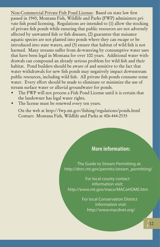Non-Commercial Private Fish Pond License: Based on state law first passed in 1945, Montana Fish, Wildlife and Parks (FWP) administers private fish pond licensing. Regulations are intended to (1) allow the stocking of private fish ponds while ensuring that public resources are not adversely affected by unwanted fish or fish diseases, (2) guarantee that nuisance aquatic species are not planted into ponds where they can escape or be introduced into state waters, and (3) ensure that habitat of wild fish is not harmed. Many streams suffer from de-watering by consumptive water uses that have been legal in Montana for over 100 years. Additional water withdrawals can compound an already serious problem for wild fish and their habitat. Pond builders should be aware of and sensitive to the fact that water withdrawals for new fish ponds may negatively impact downstream public resources, including wild fish. All private fish ponds consume some water. Every effort should be made to eliminate or minimize the use of stream surface water or alluvial groundwater for ponds.

- The FWP will not process a Fish Pond License until it is certain that the landowner has legal water rights.  $\bullet$
- The license must be renewed every ten years.  $\bullet$

On the web at http://fwp.mt.gov/fishing/regulations/ponds.html Contact: Montana Fish, Wildlife and Parks at 406-444-2535

### **More information:**

The Guide to Stream Permitting at: http://dnrc.mt.gov/permits/stream\_permitting/

For local county contact information visit: http://www.mt.gov/maco/MACoHOME.htm

> For local Conservation District information visit: http://www.macdnet.org/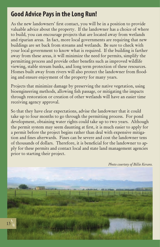## **Good Advice Pays in the Long Run!**

As the new landowners' first contact, you will be in a position to provide valuable advice about the property. If the landowner has a choice of where to build, you can encourage projects that are located away from wetlands and riparian areas. In fact, more local governments are requiring that new buildings are set back from streams and wetlands. Be sure to check with your local government to know what is required. If the building is farther away from these areas, it will minimize the need for permits, simplify the permitting process and provide other benefits such as improved wildlife viewing, stable stream banks, and long term protection of these resources. Homes built away from rivers will also protect the landowner from flooding and ensure enjoyment of the property for many years.

Projects that minimize damage by preserving the native vegetation, using bioengineering methods, allowing fish passage, or mitigating the impacts through restoration or creation of other wetlands will have an easier time receiving agency approval.

So that they have clear expectations, advise the landowner that it could take up to four months to go through the permitting process. For pond development, obtaining water rights could take up to two years. Although the permit system may seem daunting at first, it is much easier to apply for a permit before the project begins rather than deal with expensive mitigation and fines afterwards. Fines can be severe and cost the landowner tens of thousands of dollars. Therefore, it is beneficial for the landowner to apply for these permits and contact local and state land management agencies prior to starting their project.

*Photo courtesy of Billie Kerans.*

13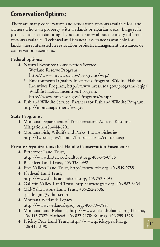# **Conservation Options:**

There are many conservation and restoration options available for landowners who own property with wetlands or riparian areas. Large scale projects can seem daunting if you don't know about the many different options available. Technical and financial assistance is available for landowners interested in restoration projects, management assistance, or conservation easements.

#### **Federal options:**

- Natural Resource Conservation Service
	- Wetland Reserve Program, ° http://www.nrcs.usda.gov/programs/wrp/
	- Environmental Quality Incentives Program, Wildlife Habitat ° Incentives Program, http://www.nrcs.usda.gov/programs/eqip/
	- Wildlife Habitat Incentives Program, ° http://www.nrcs.usda.gov/Programs/whip/
- Fish and Wildlife Service: Partners for Fish and Wildlife Program, http://montanapartners.fws.gov

#### **State Programs:**

- Montana Department of Transportation Aquatic Resource Mitigation, 406-444-6201
- Montana Fish, Wildlife and Parks: Future Fisheries, http://fwp.mt.gov/habitat/futurefisheries/content.asp

#### **Private Organizations that Handle Conservation Easements:**

- Bitterroot Land Trust, http://www.bitterrootlandtrust.org, 406-375-0956
- Blackfeet Land Trust, 406-338-2992
- Five Valleys Land Trust, http://www.fvlt.org, 406-549-0755
- Flathead Land Trust, http://www.flatheadlandtrust.org, 406-752-8293
- Gallatin Valley Land Trust, http://www.gvlt.org, 406-587-8404
- Mid-Yellowstone Land Trust, 406-252-2606, spaldingmt@yahoo.com
- Montana Wetlands Legacy, http://www.wetlandslegacy.org, 406-994-7889
- Montana Land Reliance, http://www.mtlandreliance.org; Helena, 406-443-7027; Flathead, 406-837-2178; Billings, 406-259-1328
- Prickly Pear Land Trust, http://www.pricklypearlt.org,  $\frac{14}{14}$ 406-442-0490